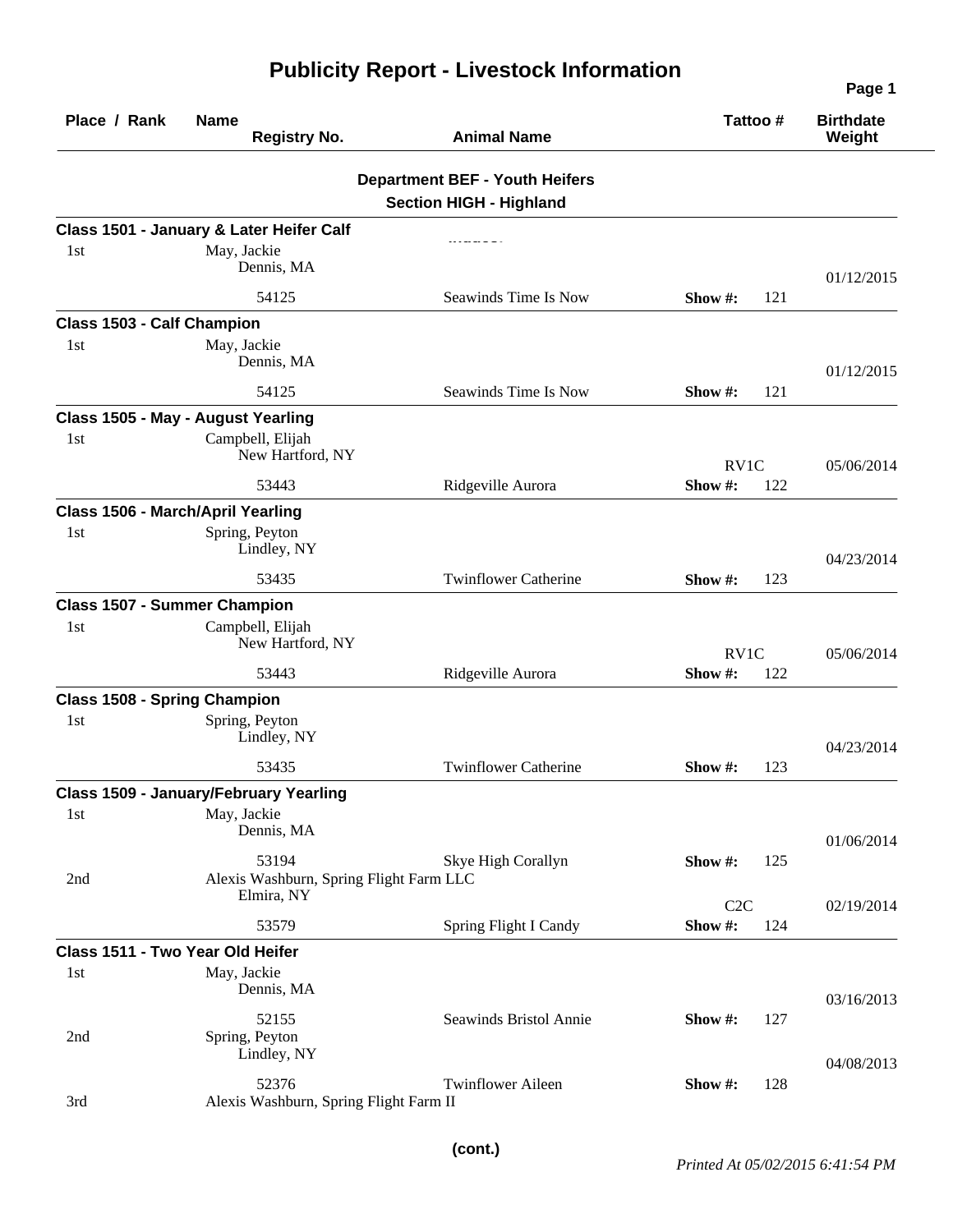| Place / Rank                        | <b>Name</b><br><b>Registry No.</b>               | <b>Animal Name</b>                                                      | Tattoo#           | <b>Birthdate</b><br>Weight |  |
|-------------------------------------|--------------------------------------------------|-------------------------------------------------------------------------|-------------------|----------------------------|--|
|                                     |                                                  | <b>Department BEF - Youth Heifers</b><br><b>Section HIGH - Highland</b> |                   |                            |  |
|                                     | Class 1501 - January & Later Heifer Calf         |                                                                         |                   |                            |  |
| 1st                                 | May, Jackie<br>Dennis, MA                        |                                                                         |                   | 01/12/2015                 |  |
|                                     | 54125                                            | Seawinds Time Is Now                                                    | 121<br>Show $#$ : |                            |  |
| <b>Class 1503 - Calf Champion</b>   |                                                  |                                                                         |                   |                            |  |
| 1st                                 | May, Jackie<br>Dennis, MA                        |                                                                         |                   | 01/12/2015                 |  |
|                                     | 54125                                            | Seawinds Time Is Now                                                    | 121<br>Show $#$ : |                            |  |
|                                     | Class 1505 - May - August Yearling               |                                                                         |                   |                            |  |
| 1st                                 | Campbell, Elijah<br>New Hartford, NY             |                                                                         | RV1C              | 05/06/2014                 |  |
|                                     | 53443                                            | Ridgeville Aurora                                                       | 122<br>Show #:    |                            |  |
|                                     | Class 1506 - March/April Yearling                |                                                                         |                   |                            |  |
| 1st                                 | Spring, Peyton<br>Lindley, NY                    |                                                                         |                   | 04/23/2014                 |  |
|                                     | 53435                                            | <b>Twinflower Catherine</b>                                             | Show #:<br>123    |                            |  |
| <b>Class 1507 - Summer Champion</b> |                                                  |                                                                         |                   |                            |  |
| 1st                                 | Campbell, Elijah<br>New Hartford, NY             |                                                                         | RV <sub>1</sub> C | 05/06/2014                 |  |
|                                     | 53443                                            | Ridgeville Aurora                                                       | Show#:<br>122     |                            |  |
| <b>Class 1508 - Spring Champion</b> |                                                  |                                                                         |                   |                            |  |
| 1st                                 | Spring, Peyton<br>Lindley, NY                    |                                                                         |                   | 04/23/2014                 |  |
|                                     | 53435                                            | <b>Twinflower Catherine</b>                                             | 123<br>Show #:    |                            |  |
|                                     | <b>Class 1509 - January/February Yearling</b>    |                                                                         |                   |                            |  |
| 1st                                 | May, Jackie<br>Dennis, MA                        |                                                                         |                   | 01/06/2014                 |  |
| 2nd                                 | 53194<br>Alexis Washburn, Spring Flight Farm LLC | Skye High Corallyn                                                      | Show#:<br>125     |                            |  |
|                                     | Elmira, NY                                       |                                                                         | C2C               | 02/19/2014                 |  |
|                                     | 53579                                            | Spring Flight I Candy                                                   | Show #:<br>124    |                            |  |
| 1st                                 | Class 1511 - Two Year Old Heifer<br>May, Jackie  |                                                                         |                   |                            |  |
|                                     | Dennis, MA                                       |                                                                         |                   | 03/16/2013                 |  |
| 2nd                                 | 52155<br>Spring, Peyton<br>Lindley, NY           | Seawinds Bristol Annie                                                  | Show#:<br>127     |                            |  |
| 3rd                                 | 52376<br>Alexis Washburn, Spring Flight Farm II  | <b>Twinflower Aileen</b>                                                | Show#:<br>128     | 04/08/2013                 |  |

## **Publicity Report - Livestock Information**